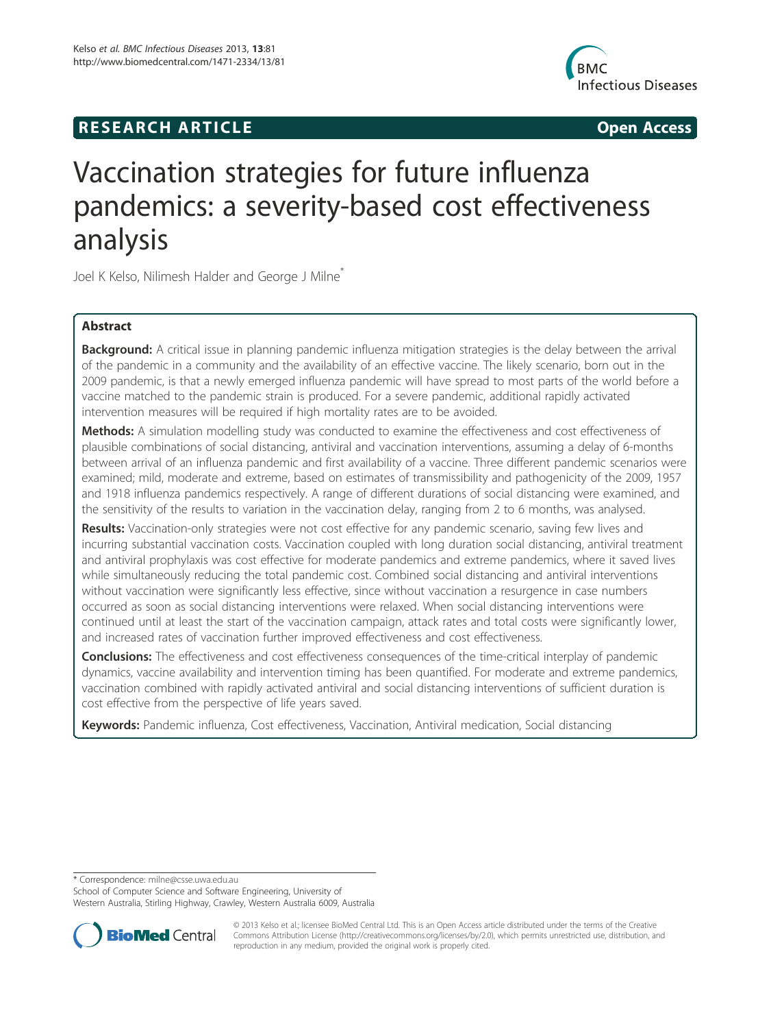# **RESEARCH ARTICLE Example 2014 The SEAR CH ACCESS**



# Vaccination strategies for future influenza pandemics: a severity-based cost effectiveness analysis

Joel K Kelso, Nilimesh Halder and George J Milne<sup>\*</sup>

# Abstract

Background: A critical issue in planning pandemic influenza mitigation strategies is the delay between the arrival of the pandemic in a community and the availability of an effective vaccine. The likely scenario, born out in the 2009 pandemic, is that a newly emerged influenza pandemic will have spread to most parts of the world before a vaccine matched to the pandemic strain is produced. For a severe pandemic, additional rapidly activated intervention measures will be required if high mortality rates are to be avoided.

**Methods:** A simulation modelling study was conducted to examine the effectiveness and cost effectiveness of plausible combinations of social distancing, antiviral and vaccination interventions, assuming a delay of 6-months between arrival of an influenza pandemic and first availability of a vaccine. Three different pandemic scenarios were examined; mild, moderate and extreme, based on estimates of transmissibility and pathogenicity of the 2009, 1957 and 1918 influenza pandemics respectively. A range of different durations of social distancing were examined, and the sensitivity of the results to variation in the vaccination delay, ranging from 2 to 6 months, was analysed.

Results: Vaccination-only strategies were not cost effective for any pandemic scenario, saving few lives and incurring substantial vaccination costs. Vaccination coupled with long duration social distancing, antiviral treatment and antiviral prophylaxis was cost effective for moderate pandemics and extreme pandemics, where it saved lives while simultaneously reducing the total pandemic cost. Combined social distancing and antiviral interventions without vaccination were significantly less effective, since without vaccination a resurgence in case numbers occurred as soon as social distancing interventions were relaxed. When social distancing interventions were continued until at least the start of the vaccination campaign, attack rates and total costs were significantly lower, and increased rates of vaccination further improved effectiveness and cost effectiveness.

**Conclusions:** The effectiveness and cost effectiveness consequences of the time-critical interplay of pandemic dynamics, vaccine availability and intervention timing has been quantified. For moderate and extreme pandemics, vaccination combined with rapidly activated antiviral and social distancing interventions of sufficient duration is cost effective from the perspective of life years saved.

Keywords: Pandemic influenza, Cost effectiveness, Vaccination, Antiviral medication, Social distancing

\* Correspondence: milne@csse.uwa.edu.au

School of Computer Science and Software Engineering, University of

Western Australia, Stirling Highway, Crawley, Western Australia 6009, Australia



© 2013 Kelso et al.; licensee BioMed Central Ltd. This is an Open Access article distributed under the terms of the Creative Commons Attribution License (http://creativecommons.org/licenses/by/2.0), which permits unrestricted use, distribution, and reproduction in any medium, provided the original work is properly cited.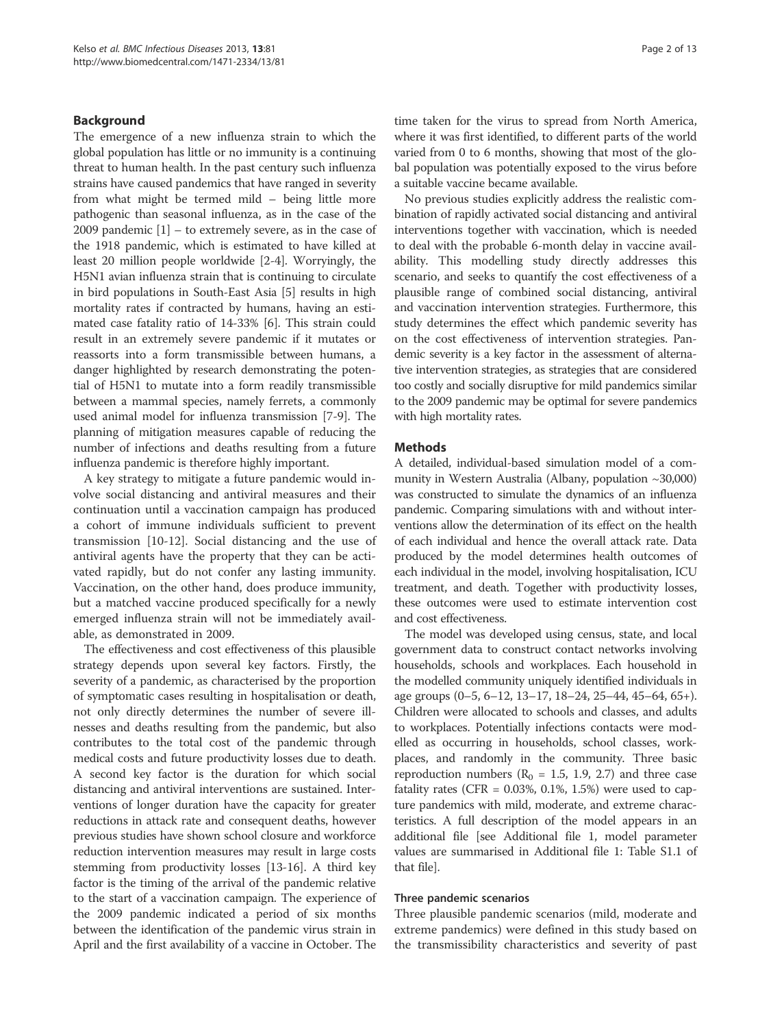#### Background

The emergence of a new influenza strain to which the global population has little or no immunity is a continuing threat to human health. In the past century such influenza strains have caused pandemics that have ranged in severity from what might be termed mild – being little more pathogenic than seasonal influenza, as in the case of the 2009 pandemic  $[1]$  – to extremely severe, as in the case of the 1918 pandemic, which is estimated to have killed at least 20 million people worldwide [2-4]. Worryingly, the H5N1 avian influenza strain that is continuing to circulate in bird populations in South-East Asia [5] results in high mortality rates if contracted by humans, having an estimated case fatality ratio of 14-33% [6]. This strain could result in an extremely severe pandemic if it mutates or reassorts into a form transmissible between humans, a danger highlighted by research demonstrating the potential of H5N1 to mutate into a form readily transmissible between a mammal species, namely ferrets, a commonly used animal model for influenza transmission [7-9]. The planning of mitigation measures capable of reducing the number of infections and deaths resulting from a future influenza pandemic is therefore highly important.

A key strategy to mitigate a future pandemic would involve social distancing and antiviral measures and their continuation until a vaccination campaign has produced a cohort of immune individuals sufficient to prevent transmission [10-12]. Social distancing and the use of antiviral agents have the property that they can be activated rapidly, but do not confer any lasting immunity. Vaccination, on the other hand, does produce immunity, but a matched vaccine produced specifically for a newly emerged influenza strain will not be immediately available, as demonstrated in 2009.

The effectiveness and cost effectiveness of this plausible strategy depends upon several key factors. Firstly, the severity of a pandemic, as characterised by the proportion of symptomatic cases resulting in hospitalisation or death, not only directly determines the number of severe illnesses and deaths resulting from the pandemic, but also contributes to the total cost of the pandemic through medical costs and future productivity losses due to death. A second key factor is the duration for which social distancing and antiviral interventions are sustained. Interventions of longer duration have the capacity for greater reductions in attack rate and consequent deaths, however previous studies have shown school closure and workforce reduction intervention measures may result in large costs stemming from productivity losses [13-16]. A third key factor is the timing of the arrival of the pandemic relative to the start of a vaccination campaign. The experience of the 2009 pandemic indicated a period of six months between the identification of the pandemic virus strain in April and the first availability of a vaccine in October. The

time taken for the virus to spread from North America, where it was first identified, to different parts of the world varied from 0 to 6 months, showing that most of the global population was potentially exposed to the virus before a suitable vaccine became available.

No previous studies explicitly address the realistic combination of rapidly activated social distancing and antiviral interventions together with vaccination, which is needed to deal with the probable 6-month delay in vaccine availability. This modelling study directly addresses this scenario, and seeks to quantify the cost effectiveness of a plausible range of combined social distancing, antiviral and vaccination intervention strategies. Furthermore, this study determines the effect which pandemic severity has on the cost effectiveness of intervention strategies. Pandemic severity is a key factor in the assessment of alternative intervention strategies, as strategies that are considered too costly and socially disruptive for mild pandemics similar to the 2009 pandemic may be optimal for severe pandemics with high mortality rates.

#### **Methods**

A detailed, individual-based simulation model of a community in Western Australia (Albany, population ~30,000) was constructed to simulate the dynamics of an influenza pandemic. Comparing simulations with and without interventions allow the determination of its effect on the health of each individual and hence the overall attack rate. Data produced by the model determines health outcomes of each individual in the model, involving hospitalisation, ICU treatment, and death. Together with productivity losses, these outcomes were used to estimate intervention cost and cost effectiveness.

The model was developed using census, state, and local government data to construct contact networks involving households, schools and workplaces. Each household in the modelled community uniquely identified individuals in age groups (0–5, 6–12, 13–17, 18–24, 25–44, 45–64, 65+). Children were allocated to schools and classes, and adults to workplaces. Potentially infections contacts were modelled as occurring in households, school classes, workplaces, and randomly in the community. Three basic reproduction numbers ( $R_0 = 1.5, 1.9, 2.7$ ) and three case fatality rates (CFR =  $0.03\%$ , 0.1%, 1.5%) were used to capture pandemics with mild, moderate, and extreme characteristics. A full description of the model appears in an additional file [see Additional file 1, model parameter values are summarised in Additional file 1: Table S1.1 of that file].

#### Three pandemic scenarios

Three plausible pandemic scenarios (mild, moderate and extreme pandemics) were defined in this study based on the transmissibility characteristics and severity of past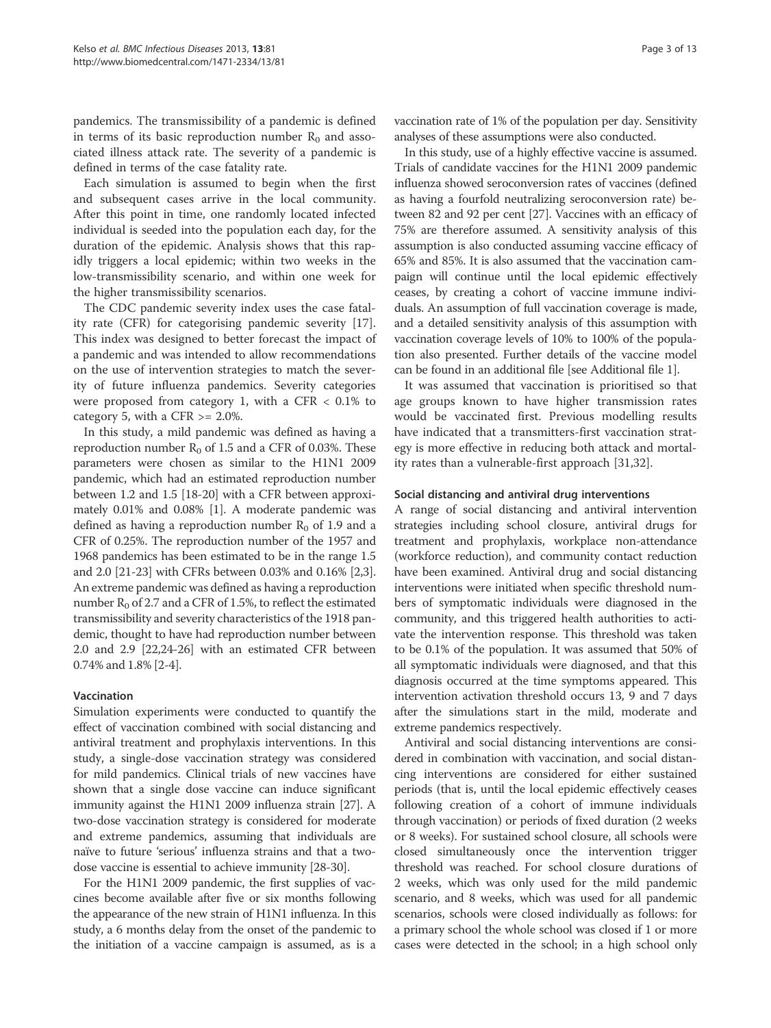pandemics. The transmissibility of a pandemic is defined in terms of its basic reproduction number  $R_0$  and associated illness attack rate. The severity of a pandemic is defined in terms of the case fatality rate.

Each simulation is assumed to begin when the first and subsequent cases arrive in the local community. After this point in time, one randomly located infected individual is seeded into the population each day, for the duration of the epidemic. Analysis shows that this rapidly triggers a local epidemic; within two weeks in the low-transmissibility scenario, and within one week for the higher transmissibility scenarios.

The CDC pandemic severity index uses the case fatality rate (CFR) for categorising pandemic severity [17]. This index was designed to better forecast the impact of a pandemic and was intended to allow recommendations on the use of intervention strategies to match the severity of future influenza pandemics. Severity categories were proposed from category 1, with a CFR  $< 0.1\%$  to category 5, with a CFR  $>= 2.0\%$ .

In this study, a mild pandemic was defined as having a reproduction number  $R_0$  of 1.5 and a CFR of 0.03%. These parameters were chosen as similar to the H1N1 2009 pandemic, which had an estimated reproduction number between 1.2 and 1.5 [18-20] with a CFR between approximately 0.01% and 0.08% [1]. A moderate pandemic was defined as having a reproduction number  $R_0$  of 1.9 and a CFR of 0.25%. The reproduction number of the 1957 and 1968 pandemics has been estimated to be in the range 1.5 and 2.0 [21-23] with CFRs between 0.03% and 0.16% [2,3]. An extreme pandemic was defined as having a reproduction number  $R_0$  of 2.7 and a CFR of 1.5%, to reflect the estimated transmissibility and severity characteristics of the 1918 pandemic, thought to have had reproduction number between 2.0 and 2.9 [22,24-26] with an estimated CFR between 0.74% and 1.8% [2-4].

# Vaccination

Simulation experiments were conducted to quantify the effect of vaccination combined with social distancing and antiviral treatment and prophylaxis interventions. In this study, a single-dose vaccination strategy was considered for mild pandemics. Clinical trials of new vaccines have shown that a single dose vaccine can induce significant immunity against the H1N1 2009 influenza strain [27]. A two-dose vaccination strategy is considered for moderate and extreme pandemics, assuming that individuals are naïve to future 'serious' influenza strains and that a twodose vaccine is essential to achieve immunity [28-30].

For the H1N1 2009 pandemic, the first supplies of vaccines become available after five or six months following the appearance of the new strain of H1N1 influenza. In this study, a 6 months delay from the onset of the pandemic to the initiation of a vaccine campaign is assumed, as is a vaccination rate of 1% of the population per day. Sensitivity analyses of these assumptions were also conducted.

In this study, use of a highly effective vaccine is assumed. Trials of candidate vaccines for the H1N1 2009 pandemic influenza showed seroconversion rates of vaccines (defined as having a fourfold neutralizing seroconversion rate) between 82 and 92 per cent [27]. Vaccines with an efficacy of 75% are therefore assumed. A sensitivity analysis of this assumption is also conducted assuming vaccine efficacy of 65% and 85%. It is also assumed that the vaccination campaign will continue until the local epidemic effectively ceases, by creating a cohort of vaccine immune individuals. An assumption of full vaccination coverage is made, and a detailed sensitivity analysis of this assumption with vaccination coverage levels of 10% to 100% of the population also presented. Further details of the vaccine model can be found in an additional file [see Additional file 1].

It was assumed that vaccination is prioritised so that age groups known to have higher transmission rates would be vaccinated first. Previous modelling results have indicated that a transmitters-first vaccination strategy is more effective in reducing both attack and mortality rates than a vulnerable-first approach [31,32].

#### Social distancing and antiviral drug interventions

A range of social distancing and antiviral intervention strategies including school closure, antiviral drugs for treatment and prophylaxis, workplace non-attendance (workforce reduction), and community contact reduction have been examined. Antiviral drug and social distancing interventions were initiated when specific threshold numbers of symptomatic individuals were diagnosed in the community, and this triggered health authorities to activate the intervention response. This threshold was taken to be 0.1% of the population. It was assumed that 50% of all symptomatic individuals were diagnosed, and that this diagnosis occurred at the time symptoms appeared. This intervention activation threshold occurs 13, 9 and 7 days after the simulations start in the mild, moderate and extreme pandemics respectively.

Antiviral and social distancing interventions are considered in combination with vaccination, and social distancing interventions are considered for either sustained periods (that is, until the local epidemic effectively ceases following creation of a cohort of immune individuals through vaccination) or periods of fixed duration (2 weeks or 8 weeks). For sustained school closure, all schools were closed simultaneously once the intervention trigger threshold was reached. For school closure durations of 2 weeks, which was only used for the mild pandemic scenario, and 8 weeks, which was used for all pandemic scenarios, schools were closed individually as follows: for a primary school the whole school was closed if 1 or more cases were detected in the school; in a high school only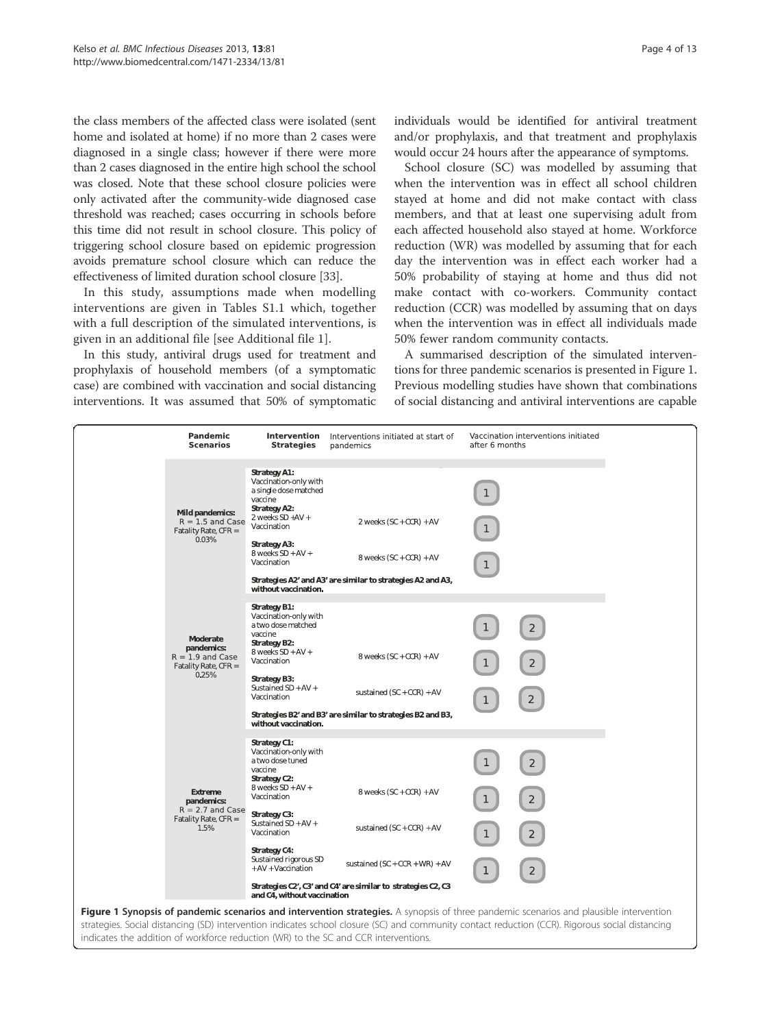the class members of the affected class were isolated (sent home and isolated at home) if no more than 2 cases were diagnosed in a single class; however if there were more than 2 cases diagnosed in the entire high school the school was closed. Note that these school closure policies were only activated after the community-wide diagnosed case threshold was reached; cases occurring in schools before this time did not result in school closure. This policy of triggering school closure based on epidemic progression avoids premature school closure which can reduce the effectiveness of limited duration school closure [33].

In this study, assumptions made when modelling interventions are given in Tables S1.1 which, together with a full description of the simulated interventions, is given in an additional file [see Additional file 1].

In this study, antiviral drugs used for treatment and prophylaxis of household members (of a symptomatic case) are combined with vaccination and social distancing interventions. It was assumed that 50% of symptomatic individuals would be identified for antiviral treatment and/or prophylaxis, and that treatment and prophylaxis would occur 24 hours after the appearance of symptoms.

School closure (SC) was modelled by assuming that when the intervention was in effect all school children stayed at home and did not make contact with class members, and that at least one supervising adult from each affected household also stayed at home. Workforce reduction (WR) was modelled by assuming that for each day the intervention was in effect each worker had a 50% probability of staying at home and thus did not make contact with co-workers. Community contact reduction (CCR) was modelled by assuming that on days when the intervention was in effect all individuals made 50% fewer random community contacts.

A summarised description of the simulated interventions for three pandemic scenarios is presented in Figure 1. Previous modelling studies have shown that combinations of social distancing and antiviral interventions are capable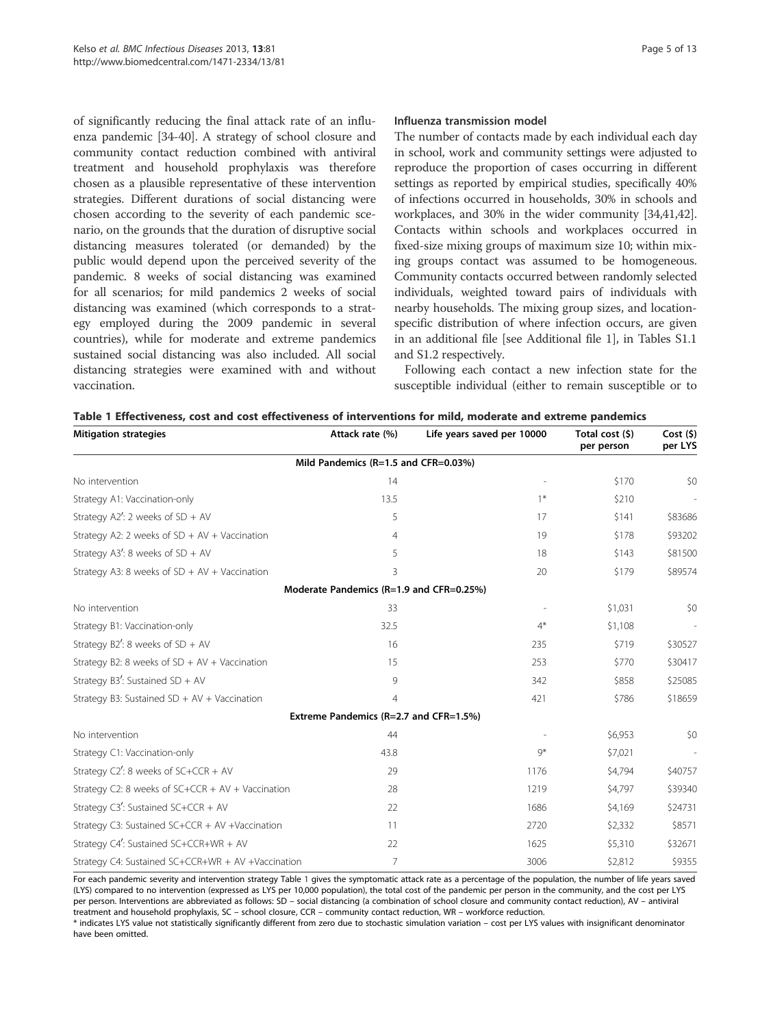of significantly reducing the final attack rate of an influenza pandemic [34-40]. A strategy of school closure and community contact reduction combined with antiviral treatment and household prophylaxis was therefore chosen as a plausible representative of these intervention strategies. Different durations of social distancing were chosen according to the severity of each pandemic scenario, on the grounds that the duration of disruptive social distancing measures tolerated (or demanded) by the public would depend upon the perceived severity of the pandemic. 8 weeks of social distancing was examined for all scenarios; for mild pandemics 2 weeks of social distancing was examined (which corresponds to a strategy employed during the 2009 pandemic in several countries), while for moderate and extreme pandemics sustained social distancing was also included. All social distancing strategies were examined with and without vaccination.

#### Influenza transmission model

The number of contacts made by each individual each day in school, work and community settings were adjusted to reproduce the proportion of cases occurring in different settings as reported by empirical studies, specifically 40% of infections occurred in households, 30% in schools and workplaces, and 30% in the wider community [34,41,42]. Contacts within schools and workplaces occurred in fixed-size mixing groups of maximum size 10; within mixing groups contact was assumed to be homogeneous. Community contacts occurred between randomly selected individuals, weighted toward pairs of individuals with nearby households. The mixing group sizes, and locationspecific distribution of where infection occurs, are given in an additional file [see Additional file 1], in Tables S1.1 and S1.2 respectively.

Following each contact a new infection state for the susceptible individual (either to remain susceptible or to

|  |  |  |  |  |  |  | Table 1 Effectiveness, cost and cost effectiveness of interventions for mild, moderate and extreme pandemics |  |  |
|--|--|--|--|--|--|--|--------------------------------------------------------------------------------------------------------------|--|--|
|--|--|--|--|--|--|--|--------------------------------------------------------------------------------------------------------------|--|--|

| <b>Mitigation strategies</b>                        | Attack rate (%)                          | Life years saved per 10000 | Total cost (\$)<br>per person | Cost(5)<br>per LYS |
|-----------------------------------------------------|------------------------------------------|----------------------------|-------------------------------|--------------------|
|                                                     | Mild Pandemics ( $R=1.5$ and CFR=0.03%)  |                            |                               |                    |
| No intervention                                     | 14                                       |                            | \$170                         | \$0                |
| Strategy A1: Vaccination-only                       | 13.5                                     | $1*$                       | \$210                         |                    |
| Strategy A2': 2 weeks of $SD + AV$                  | 5                                        | 17                         | \$141                         | \$83686            |
| Strategy A2: 2 weeks of $SD + AV + Vaccination$     | 4                                        | 19                         | \$178                         | \$93202            |
| Strategy A3': 8 weeks of $SD + AV$                  | 5                                        | 18                         | \$143                         | \$81500            |
| Strategy A3: 8 weeks of $SD + AV + Vaccination$     | 3                                        | 20                         | \$179                         | \$89574            |
|                                                     | Moderate Pandemics (R=1.9 and CFR=0.25%) |                            |                               |                    |
| No intervention                                     | 33                                       |                            | \$1,031                       | \$0                |
| Strategy B1: Vaccination-only                       | 32.5                                     | $4*$                       | \$1,108                       |                    |
| Strategy B2': 8 weeks of SD + AV                    | 16                                       | 235                        | \$719                         | \$30527            |
| Strategy B2: 8 weeks of $SD + AV + Vaccination$     | 15                                       | 253                        | \$770                         | \$30417            |
| Strategy B3': Sustained SD + AV                     | 9                                        | 342                        | \$858                         | \$25085            |
| Strategy B3: Sustained SD + AV + Vaccination        | $\overline{4}$                           | 421                        | \$786                         | \$18659            |
|                                                     | Extreme Pandemics (R=2.7 and CFR=1.5%)   |                            |                               |                    |
| No intervention                                     | 44                                       |                            | \$6,953                       | \$0                |
| Strategy C1: Vaccination-only                       | 43.8                                     | $9*$                       | \$7,021                       |                    |
| Strategy $C2'$ : 8 weeks of SC+CCR + AV             | 29                                       | 1176                       | \$4,794                       | \$40757            |
| Strategy C2: 8 weeks of $SC+CCR + AV + Vaccination$ | 28                                       | 1219                       | \$4,797                       | \$39340            |
| Strategy C3': Sustained SC+CCR + AV                 | 22                                       | 1686                       | \$4,169                       | \$24731            |
| Strategy C3: Sustained SC+CCR + AV +Vaccination     | 11                                       | 2720                       | \$2,332                       | \$8571             |
| Strategy C4': Sustained SC+CCR+WR + AV              | 22                                       | 1625                       | \$5,310                       | \$32671            |
| Strategy C4: Sustained SC+CCR+WR + AV +Vaccination  | 7                                        | 3006                       | \$2,812                       | \$9355             |

For each pandemic severity and intervention strategy Table 1 gives the symptomatic attack rate as a percentage of the population, the number of life years saved (LYS) compared to no intervention (expressed as LYS per 10,000 population), the total cost of the pandemic per person in the community, and the cost per LYS per person. Interventions are abbreviated as follows: SD – social distancing (a combination of school closure and community contact reduction), AV – antiviral treatment and household prophylaxis, SC – school closure, CCR – community contact reduction, WR – workforce reduction.

\* indicates LYS value not statistically significantly different from zero due to stochastic simulation variation – cost per LYS values with insignificant denominator have been omitted.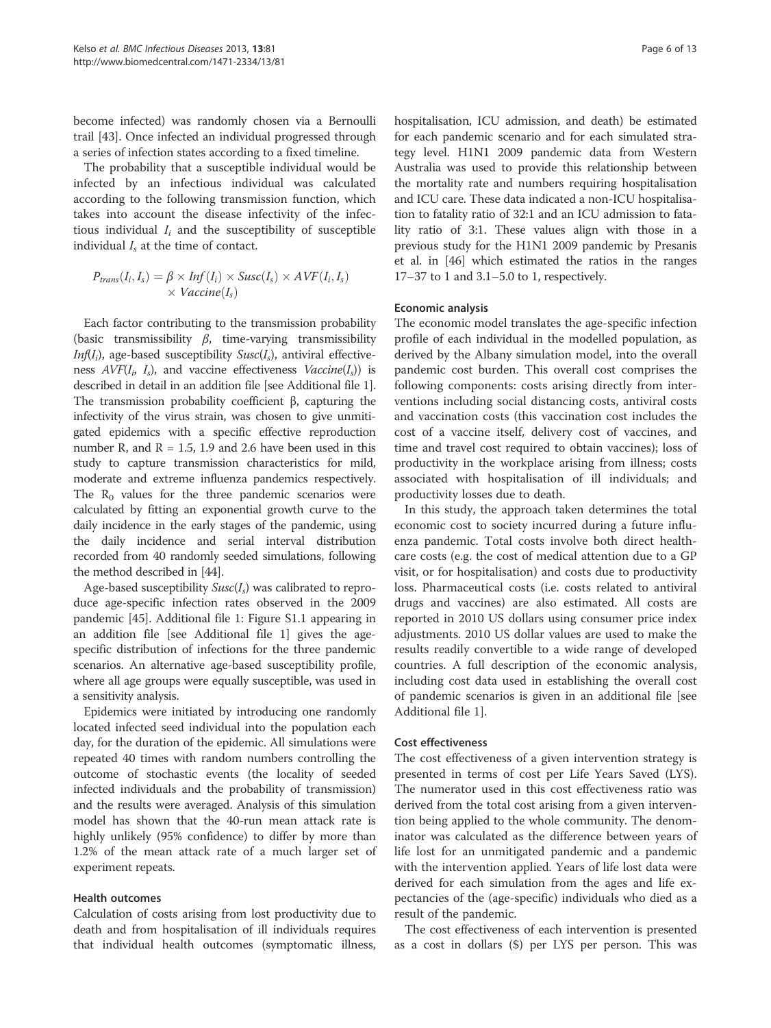become infected) was randomly chosen via a Bernoulli trail [43]. Once infected an individual progressed through a series of infection states according to a fixed timeline.

The probability that a susceptible individual would be infected by an infectious individual was calculated according to the following transmission function, which takes into account the disease infectivity of the infectious individual  $I_i$  and the susceptibility of susceptible individual  $I_s$  at the time of contact.

$$
P_{trans}(I_i, I_s) = \beta \times Inf(I_i) \times Susc(I_s) \times AVF(I_i, I_s)
$$
  
 
$$
\times Vaccine(I_s)
$$

Each factor contributing to the transmission probability (basic transmissibility  $\beta$ , time-varying transmissibility  $Inf(I_i)$ , age-based susceptibility  $Susc(I_s)$ , antiviral effectiveness  $AVF(I_i, I_s)$ , and vaccine effectiveness  $Vaccine(I_s)$  is described in detail in an addition file [see Additional file 1]. The transmission probability coefficient β, capturing the infectivity of the virus strain, was chosen to give unmitigated epidemics with a specific effective reproduction number R, and  $R = 1.5$ , 1.9 and 2.6 have been used in this study to capture transmission characteristics for mild, moderate and extreme influenza pandemics respectively. The  $R_0$  values for the three pandemic scenarios were calculated by fitting an exponential growth curve to the daily incidence in the early stages of the pandemic, using the daily incidence and serial interval distribution recorded from 40 randomly seeded simulations, following the method described in [44].

Age-based susceptibility  $Susc(I_s)$  was calibrated to reproduce age-specific infection rates observed in the 2009 pandemic [45]. Additional file 1: Figure S1.1 appearing in an addition file [see Additional file 1] gives the agespecific distribution of infections for the three pandemic scenarios. An alternative age-based susceptibility profile, where all age groups were equally susceptible, was used in a sensitivity analysis.

Epidemics were initiated by introducing one randomly located infected seed individual into the population each day, for the duration of the epidemic. All simulations were repeated 40 times with random numbers controlling the outcome of stochastic events (the locality of seeded infected individuals and the probability of transmission) and the results were averaged. Analysis of this simulation model has shown that the 40-run mean attack rate is highly unlikely (95% confidence) to differ by more than 1.2% of the mean attack rate of a much larger set of experiment repeats.

# Health outcomes

Calculation of costs arising from lost productivity due to death and from hospitalisation of ill individuals requires that individual health outcomes (symptomatic illness, hospitalisation, ICU admission, and death) be estimated for each pandemic scenario and for each simulated strategy level. H1N1 2009 pandemic data from Western Australia was used to provide this relationship between the mortality rate and numbers requiring hospitalisation and ICU care. These data indicated a non-ICU hospitalisation to fatality ratio of 32:1 and an ICU admission to fatality ratio of 3:1. These values align with those in a previous study for the H1N1 2009 pandemic by Presanis et al. in [46] which estimated the ratios in the ranges 17–37 to 1 and 3.1–5.0 to 1, respectively.

#### Economic analysis

The economic model translates the age-specific infection profile of each individual in the modelled population, as derived by the Albany simulation model, into the overall pandemic cost burden. This overall cost comprises the following components: costs arising directly from interventions including social distancing costs, antiviral costs and vaccination costs (this vaccination cost includes the cost of a vaccine itself, delivery cost of vaccines, and time and travel cost required to obtain vaccines); loss of productivity in the workplace arising from illness; costs associated with hospitalisation of ill individuals; and productivity losses due to death.

In this study, the approach taken determines the total economic cost to society incurred during a future influenza pandemic. Total costs involve both direct healthcare costs (e.g. the cost of medical attention due to a GP visit, or for hospitalisation) and costs due to productivity loss. Pharmaceutical costs (i.e. costs related to antiviral drugs and vaccines) are also estimated. All costs are reported in 2010 US dollars using consumer price index adjustments. 2010 US dollar values are used to make the results readily convertible to a wide range of developed countries. A full description of the economic analysis, including cost data used in establishing the overall cost of pandemic scenarios is given in an additional file [see Additional file 1].

#### Cost effectiveness

The cost effectiveness of a given intervention strategy is presented in terms of cost per Life Years Saved (LYS). The numerator used in this cost effectiveness ratio was derived from the total cost arising from a given intervention being applied to the whole community. The denominator was calculated as the difference between years of life lost for an unmitigated pandemic and a pandemic with the intervention applied. Years of life lost data were derived for each simulation from the ages and life expectancies of the (age-specific) individuals who died as a result of the pandemic.

The cost effectiveness of each intervention is presented as a cost in dollars (\$) per LYS per person. This was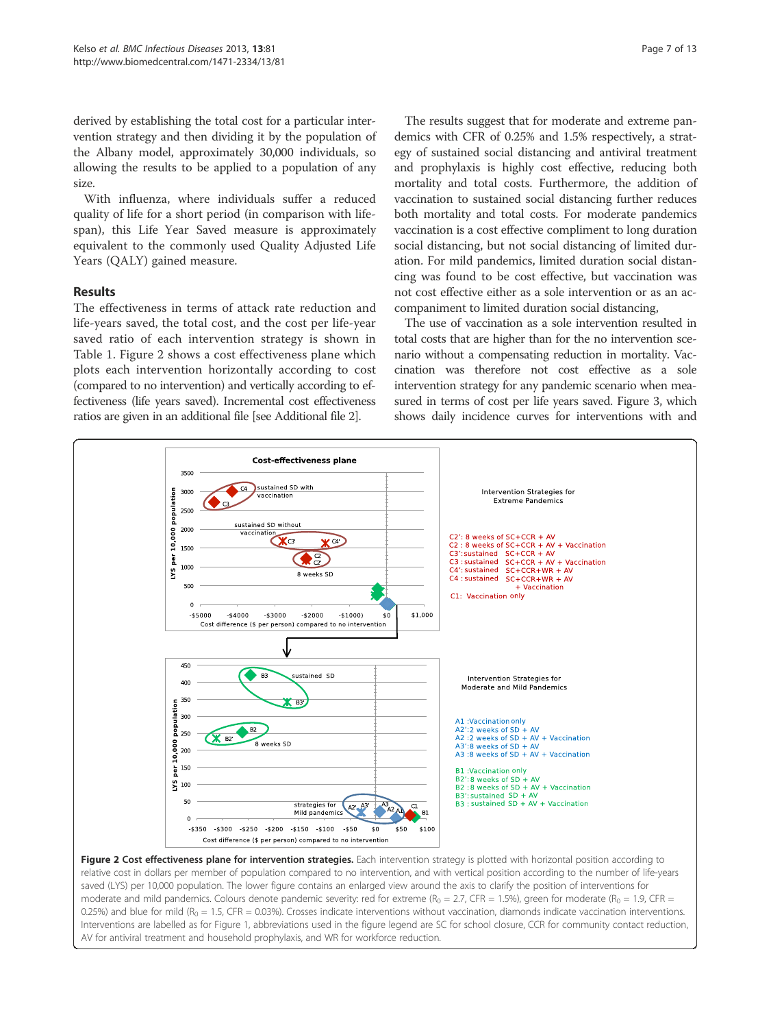derived by establishing the total cost for a particular intervention strategy and then dividing it by the population of the Albany model, approximately 30,000 individuals, so allowing the results to be applied to a population of any size.

With influenza, where individuals suffer a reduced quality of life for a short period (in comparison with lifespan), this Life Year Saved measure is approximately equivalent to the commonly used Quality Adjusted Life Years (QALY) gained measure.

# Results

The effectiveness in terms of attack rate reduction and life-years saved, the total cost, and the cost per life-year saved ratio of each intervention strategy is shown in Table 1. Figure 2 shows a cost effectiveness plane which plots each intervention horizontally according to cost (compared to no intervention) and vertically according to effectiveness (life years saved). Incremental cost effectiveness ratios are given in an additional file [see Additional file 2].

The results suggest that for moderate and extreme pandemics with CFR of 0.25% and 1.5% respectively, a strategy of sustained social distancing and antiviral treatment and prophylaxis is highly cost effective, reducing both mortality and total costs. Furthermore, the addition of vaccination to sustained social distancing further reduces both mortality and total costs. For moderate pandemics vaccination is a cost effective compliment to long duration social distancing, but not social distancing of limited duration. For mild pandemics, limited duration social distancing was found to be cost effective, but vaccination was not cost effective either as a sole intervention or as an accompaniment to limited duration social distancing,

The use of vaccination as a sole intervention resulted in total costs that are higher than for the no intervention scenario without a compensating reduction in mortality. Vaccination was therefore not cost effective as a sole intervention strategy for any pandemic scenario when measured in terms of cost per life years saved. Figure 3, which shows daily incidence curves for interventions with and



saved (LYS) per 10,000 population. The lower figure contains an enlarged view around the axis to clarify the position of interventions for moderate and mild pandemics. Colours denote pandemic severity: red for extreme ( $R_0 = 2.7$ , CFR = 1.5%), green for moderate ( $R_0 = 1.9$ , CFR = 0.25%) and blue for mild ( $R_0 = 1.5$ , CFR = 0.03%). Crosses indicate interventions without vaccination, diamonds indicate vaccination interventions. Interventions are labelled as for Figure 1, abbreviations used in the figure legend are SC for school closure, CCR for community contact reduction, AV for antiviral treatment and household prophylaxis, and WR for workforce reduction.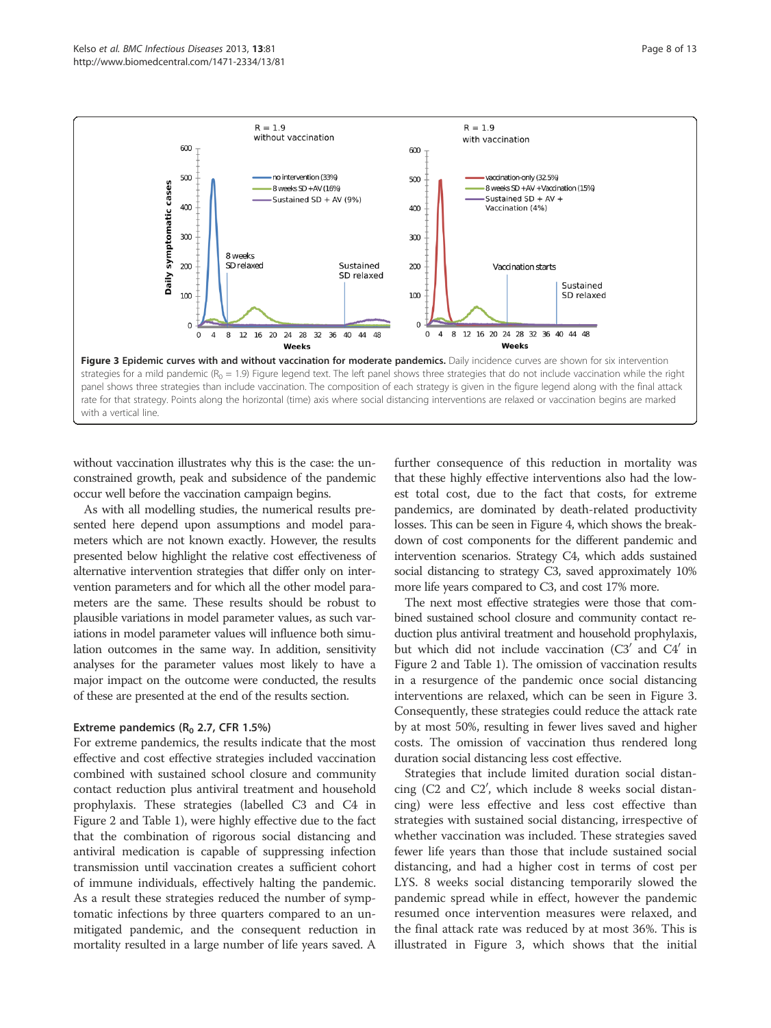

with a vertical line.

without vaccination illustrates why this is the case: the unconstrained growth, peak and subsidence of the pandemic occur well before the vaccination campaign begins.

As with all modelling studies, the numerical results presented here depend upon assumptions and model parameters which are not known exactly. However, the results presented below highlight the relative cost effectiveness of alternative intervention strategies that differ only on intervention parameters and for which all the other model parameters are the same. These results should be robust to plausible variations in model parameter values, as such variations in model parameter values will influence both simulation outcomes in the same way. In addition, sensitivity analyses for the parameter values most likely to have a major impact on the outcome were conducted, the results of these are presented at the end of the results section.

# Extreme pandemics  $(R_0 2.7, CFR 1.5%)$

For extreme pandemics, the results indicate that the most effective and cost effective strategies included vaccination combined with sustained school closure and community contact reduction plus antiviral treatment and household prophylaxis. These strategies (labelled C3 and C4 in Figure 2 and Table 1), were highly effective due to the fact that the combination of rigorous social distancing and antiviral medication is capable of suppressing infection transmission until vaccination creates a sufficient cohort of immune individuals, effectively halting the pandemic. As a result these strategies reduced the number of symptomatic infections by three quarters compared to an unmitigated pandemic, and the consequent reduction in mortality resulted in a large number of life years saved. A further consequence of this reduction in mortality was that these highly effective interventions also had the lowest total cost, due to the fact that costs, for extreme pandemics, are dominated by death-related productivity losses. This can be seen in Figure 4, which shows the breakdown of cost components for the different pandemic and intervention scenarios. Strategy C4, which adds sustained social distancing to strategy C3, saved approximately 10% more life years compared to C3, and cost 17% more.

The next most effective strategies were those that combined sustained school closure and community contact reduction plus antiviral treatment and household prophylaxis, but which did not include vaccination  $(C3'$  and  $C4'$  in Figure 2 and Table 1). The omission of vaccination results in a resurgence of the pandemic once social distancing interventions are relaxed, which can be seen in Figure 3. Consequently, these strategies could reduce the attack rate by at most 50%, resulting in fewer lives saved and higher costs. The omission of vaccination thus rendered long duration social distancing less cost effective.

Strategies that include limited duration social distancing  $(C2$  and  $C2'$ , which include 8 weeks social distancing) were less effective and less cost effective than strategies with sustained social distancing, irrespective of whether vaccination was included. These strategies saved fewer life years than those that include sustained social distancing, and had a higher cost in terms of cost per LYS. 8 weeks social distancing temporarily slowed the pandemic spread while in effect, however the pandemic resumed once intervention measures were relaxed, and the final attack rate was reduced by at most 36%. This is illustrated in Figure 3, which shows that the initial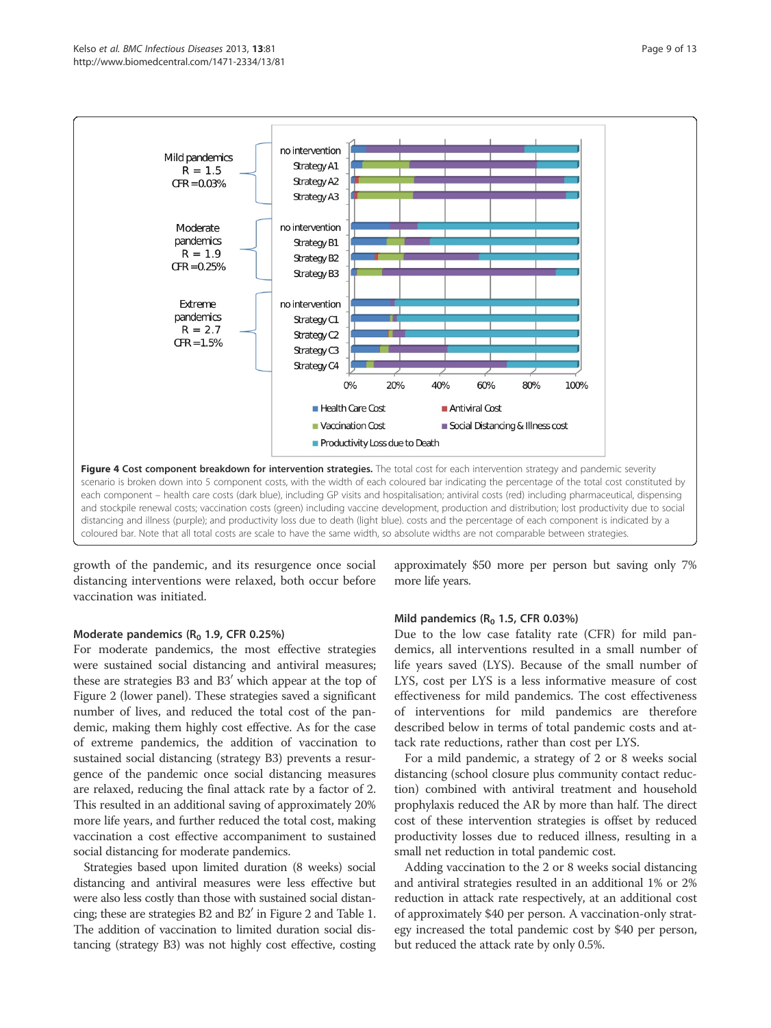

growth of the pandemic, and its resurgence once social distancing interventions were relaxed, both occur before vaccination was initiated.

### Moderate pandemics ( $R_0$  1.9, CFR 0.25%)

For moderate pandemics, the most effective strategies were sustained social distancing and antiviral measures; these are strategies B3 and B3 $'$  which appear at the top of Figure 2 (lower panel). These strategies saved a significant number of lives, and reduced the total cost of the pandemic, making them highly cost effective. As for the case of extreme pandemics, the addition of vaccination to sustained social distancing (strategy B3) prevents a resurgence of the pandemic once social distancing measures are relaxed, reducing the final attack rate by a factor of 2. This resulted in an additional saving of approximately 20% more life years, and further reduced the total cost, making vaccination a cost effective accompaniment to sustained social distancing for moderate pandemics.

Strategies based upon limited duration (8 weeks) social distancing and antiviral measures were less effective but were also less costly than those with sustained social distancing; these are strategies  $B2$  and  $B2'$  in Figure 2 and Table 1. The addition of vaccination to limited duration social distancing (strategy B3) was not highly cost effective, costing

approximately \$50 more per person but saving only 7% more life years.

#### Mild pandemics  $(R_0 1.5, CFR 0.03%)$

Due to the low case fatality rate (CFR) for mild pandemics, all interventions resulted in a small number of life years saved (LYS). Because of the small number of LYS, cost per LYS is a less informative measure of cost effectiveness for mild pandemics. The cost effectiveness of interventions for mild pandemics are therefore described below in terms of total pandemic costs and attack rate reductions, rather than cost per LYS.

For a mild pandemic, a strategy of 2 or 8 weeks social distancing (school closure plus community contact reduction) combined with antiviral treatment and household prophylaxis reduced the AR by more than half. The direct cost of these intervention strategies is offset by reduced productivity losses due to reduced illness, resulting in a small net reduction in total pandemic cost.

Adding vaccination to the 2 or 8 weeks social distancing and antiviral strategies resulted in an additional 1% or 2% reduction in attack rate respectively, at an additional cost of approximately \$40 per person. A vaccination-only strategy increased the total pandemic cost by \$40 per person, but reduced the attack rate by only 0.5%.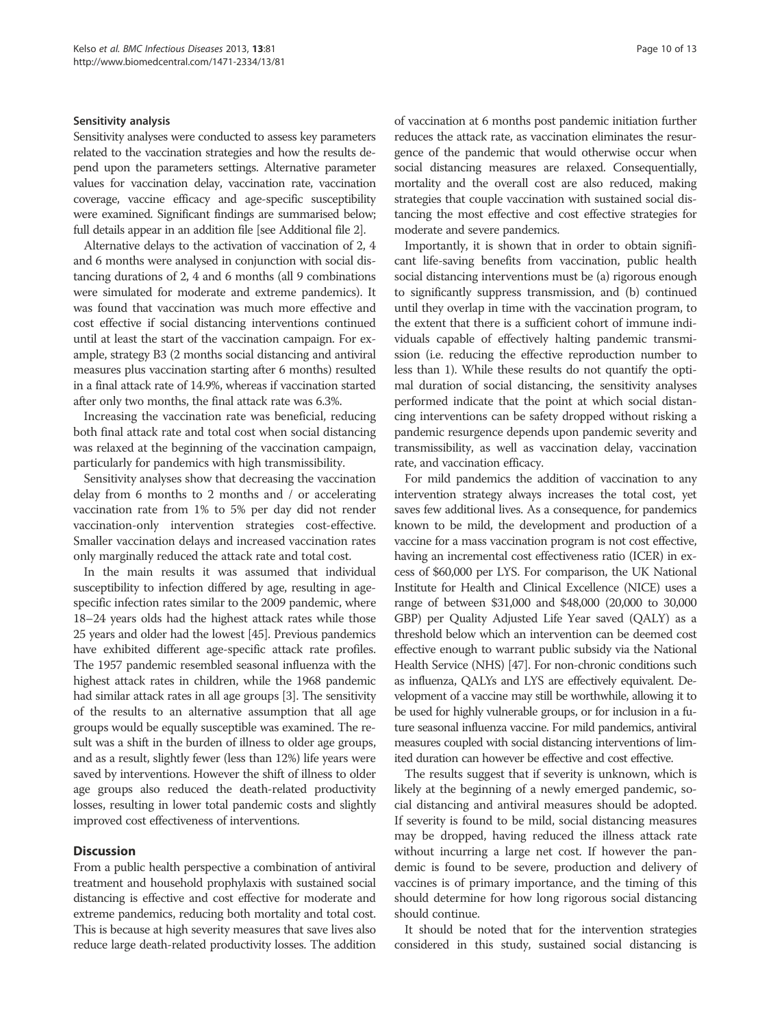#### Sensitivity analysis

Sensitivity analyses were conducted to assess key parameters related to the vaccination strategies and how the results depend upon the parameters settings. Alternative parameter values for vaccination delay, vaccination rate, vaccination coverage, vaccine efficacy and age-specific susceptibility were examined. Significant findings are summarised below; full details appear in an addition file [see Additional file 2].

Alternative delays to the activation of vaccination of 2, 4 and 6 months were analysed in conjunction with social distancing durations of 2, 4 and 6 months (all 9 combinations were simulated for moderate and extreme pandemics). It was found that vaccination was much more effective and cost effective if social distancing interventions continued until at least the start of the vaccination campaign. For example, strategy B3 (2 months social distancing and antiviral measures plus vaccination starting after 6 months) resulted in a final attack rate of 14.9%, whereas if vaccination started after only two months, the final attack rate was 6.3%.

Increasing the vaccination rate was beneficial, reducing both final attack rate and total cost when social distancing was relaxed at the beginning of the vaccination campaign, particularly for pandemics with high transmissibility.

Sensitivity analyses show that decreasing the vaccination delay from 6 months to 2 months and / or accelerating vaccination rate from 1% to 5% per day did not render vaccination-only intervention strategies cost-effective. Smaller vaccination delays and increased vaccination rates only marginally reduced the attack rate and total cost.

In the main results it was assumed that individual susceptibility to infection differed by age, resulting in agespecific infection rates similar to the 2009 pandemic, where 18–24 years olds had the highest attack rates while those 25 years and older had the lowest [45]. Previous pandemics have exhibited different age-specific attack rate profiles. The 1957 pandemic resembled seasonal influenza with the highest attack rates in children, while the 1968 pandemic had similar attack rates in all age groups [3]. The sensitivity of the results to an alternative assumption that all age groups would be equally susceptible was examined. The result was a shift in the burden of illness to older age groups, and as a result, slightly fewer (less than 12%) life years were saved by interventions. However the shift of illness to older age groups also reduced the death-related productivity losses, resulting in lower total pandemic costs and slightly improved cost effectiveness of interventions.

### **Discussion**

From a public health perspective a combination of antiviral treatment and household prophylaxis with sustained social distancing is effective and cost effective for moderate and extreme pandemics, reducing both mortality and total cost. This is because at high severity measures that save lives also reduce large death-related productivity losses. The addition of vaccination at 6 months post pandemic initiation further reduces the attack rate, as vaccination eliminates the resurgence of the pandemic that would otherwise occur when social distancing measures are relaxed. Consequentially, mortality and the overall cost are also reduced, making strategies that couple vaccination with sustained social distancing the most effective and cost effective strategies for moderate and severe pandemics.

Importantly, it is shown that in order to obtain significant life-saving benefits from vaccination, public health social distancing interventions must be (a) rigorous enough to significantly suppress transmission, and (b) continued until they overlap in time with the vaccination program, to the extent that there is a sufficient cohort of immune individuals capable of effectively halting pandemic transmission (i.e. reducing the effective reproduction number to less than 1). While these results do not quantify the optimal duration of social distancing, the sensitivity analyses performed indicate that the point at which social distancing interventions can be safety dropped without risking a pandemic resurgence depends upon pandemic severity and transmissibility, as well as vaccination delay, vaccination rate, and vaccination efficacy.

For mild pandemics the addition of vaccination to any intervention strategy always increases the total cost, yet saves few additional lives. As a consequence, for pandemics known to be mild, the development and production of a vaccine for a mass vaccination program is not cost effective, having an incremental cost effectiveness ratio (ICER) in excess of \$60,000 per LYS. For comparison, the UK National Institute for Health and Clinical Excellence (NICE) uses a range of between \$31,000 and \$48,000 (20,000 to 30,000 GBP) per Quality Adjusted Life Year saved (QALY) as a threshold below which an intervention can be deemed cost effective enough to warrant public subsidy via the National Health Service (NHS) [47]. For non-chronic conditions such as influenza, QALYs and LYS are effectively equivalent. Development of a vaccine may still be worthwhile, allowing it to be used for highly vulnerable groups, or for inclusion in a future seasonal influenza vaccine. For mild pandemics, antiviral measures coupled with social distancing interventions of limited duration can however be effective and cost effective.

The results suggest that if severity is unknown, which is likely at the beginning of a newly emerged pandemic, social distancing and antiviral measures should be adopted. If severity is found to be mild, social distancing measures may be dropped, having reduced the illness attack rate without incurring a large net cost. If however the pandemic is found to be severe, production and delivery of vaccines is of primary importance, and the timing of this should determine for how long rigorous social distancing should continue.

It should be noted that for the intervention strategies considered in this study, sustained social distancing is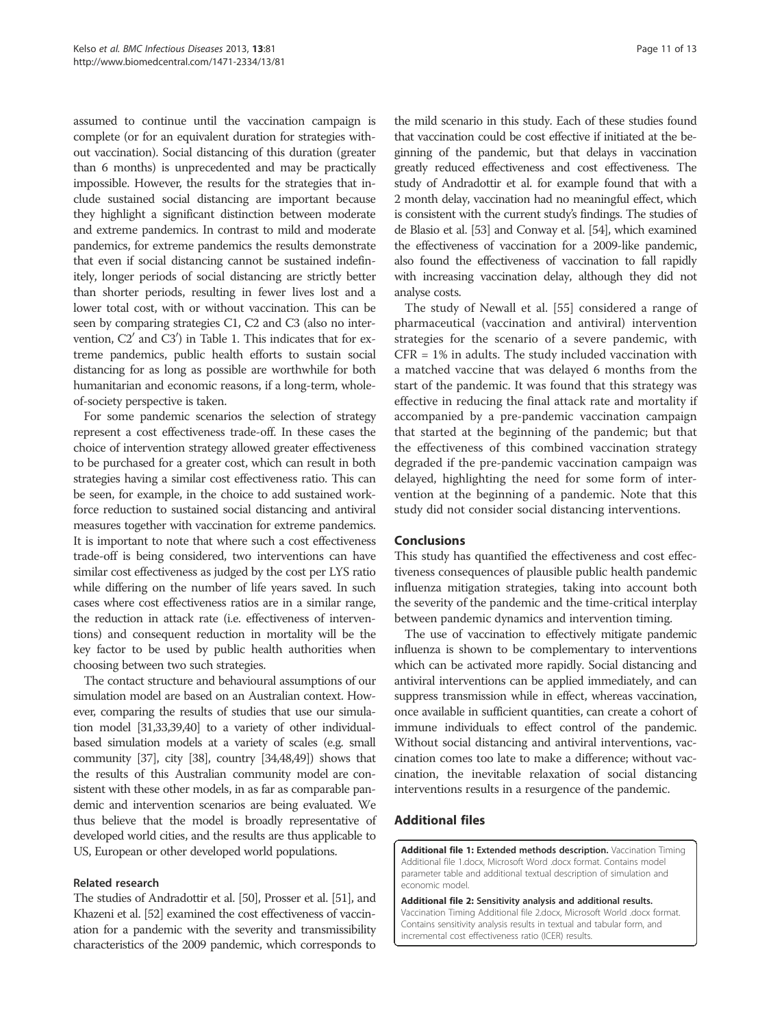assumed to continue until the vaccination campaign is complete (or for an equivalent duration for strategies without vaccination). Social distancing of this duration (greater than 6 months) is unprecedented and may be practically impossible. However, the results for the strategies that include sustained social distancing are important because they highlight a significant distinction between moderate and extreme pandemics. In contrast to mild and moderate pandemics, for extreme pandemics the results demonstrate that even if social distancing cannot be sustained indefinitely, longer periods of social distancing are strictly better than shorter periods, resulting in fewer lives lost and a lower total cost, with or without vaccination. This can be seen by comparing strategies C1, C2 and C3 (also no intervention,  $C2'$  and  $C3'$ ) in Table 1. This indicates that for extreme pandemics, public health efforts to sustain social distancing for as long as possible are worthwhile for both humanitarian and economic reasons, if a long-term, wholeof-society perspective is taken.

For some pandemic scenarios the selection of strategy represent a cost effectiveness trade-off. In these cases the choice of intervention strategy allowed greater effectiveness to be purchased for a greater cost, which can result in both strategies having a similar cost effectiveness ratio. This can be seen, for example, in the choice to add sustained workforce reduction to sustained social distancing and antiviral measures together with vaccination for extreme pandemics. It is important to note that where such a cost effectiveness trade-off is being considered, two interventions can have similar cost effectiveness as judged by the cost per LYS ratio while differing on the number of life years saved. In such cases where cost effectiveness ratios are in a similar range, the reduction in attack rate (i.e. effectiveness of interventions) and consequent reduction in mortality will be the key factor to be used by public health authorities when choosing between two such strategies.

The contact structure and behavioural assumptions of our simulation model are based on an Australian context. However, comparing the results of studies that use our simulation model [31,33,39,40] to a variety of other individualbased simulation models at a variety of scales (e.g. small community [37], city [38], country [34,48,49]) shows that the results of this Australian community model are consistent with these other models, in as far as comparable pandemic and intervention scenarios are being evaluated. We thus believe that the model is broadly representative of developed world cities, and the results are thus applicable to US, European or other developed world populations.

#### Related research

The studies of Andradottir et al. [50], Prosser et al. [51], and Khazeni et al. [52] examined the cost effectiveness of vaccination for a pandemic with the severity and transmissibility characteristics of the 2009 pandemic, which corresponds to

the mild scenario in this study. Each of these studies found that vaccination could be cost effective if initiated at the beginning of the pandemic, but that delays in vaccination greatly reduced effectiveness and cost effectiveness. The study of Andradottir et al. for example found that with a 2 month delay, vaccination had no meaningful effect, which is consistent with the current study's findings. The studies of de Blasio et al. [53] and Conway et al. [54], which examined the effectiveness of vaccination for a 2009-like pandemic, also found the effectiveness of vaccination to fall rapidly with increasing vaccination delay, although they did not analyse costs.

The study of Newall et al. [55] considered a range of pharmaceutical (vaccination and antiviral) intervention strategies for the scenario of a severe pandemic, with CFR = 1% in adults. The study included vaccination with a matched vaccine that was delayed 6 months from the start of the pandemic. It was found that this strategy was effective in reducing the final attack rate and mortality if accompanied by a pre-pandemic vaccination campaign that started at the beginning of the pandemic; but that the effectiveness of this combined vaccination strategy degraded if the pre-pandemic vaccination campaign was delayed, highlighting the need for some form of intervention at the beginning of a pandemic. Note that this study did not consider social distancing interventions.

#### **Conclusions**

This study has quantified the effectiveness and cost effectiveness consequences of plausible public health pandemic influenza mitigation strategies, taking into account both the severity of the pandemic and the time-critical interplay between pandemic dynamics and intervention timing.

The use of vaccination to effectively mitigate pandemic influenza is shown to be complementary to interventions which can be activated more rapidly. Social distancing and antiviral interventions can be applied immediately, and can suppress transmission while in effect, whereas vaccination, once available in sufficient quantities, can create a cohort of immune individuals to effect control of the pandemic. Without social distancing and antiviral interventions, vaccination comes too late to make a difference; without vaccination, the inevitable relaxation of social distancing interventions results in a resurgence of the pandemic.

# Additional files

Additional file 1: Extended methods description. Vaccination Timing Additional file 1.docx, Microsoft Word .docx format. Contains model parameter table and additional textual description of simulation and economic model.

Additional file 2: Sensitivity analysis and additional results. Vaccination Timing Additional file 2.docx, Microsoft World .docx format. Contains sensitivity analysis results in textual and tabular form, and incremental cost effectiveness ratio (ICER) results.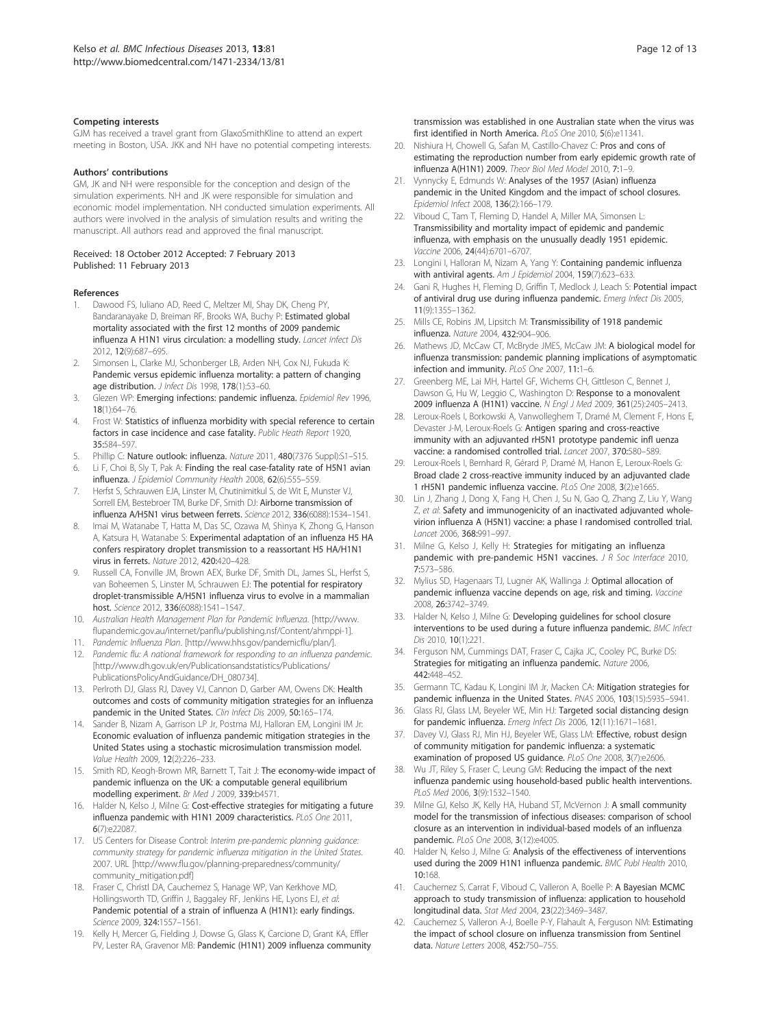#### Competing interests

GJM has received a travel grant from GlaxoSmithKline to attend an expert meeting in Boston, USA. JKK and NH have no potential competing interests.

#### Authors' contributions

GM, JK and NH were responsible for the conception and design of the simulation experiments. NH and JK were responsible for simulation and economic model implementation. NH conducted simulation experiments. All authors were involved in the analysis of simulation results and writing the manuscript. All authors read and approved the final manuscript.

#### Received: 18 October 2012 Accepted: 7 February 2013 Published: 11 February 2013

#### References

- 1. Dawood FS, Iuliano AD, Reed C, Meltzer MI, Shay DK, Cheng PY, Bandaranayake D, Breiman RF, Brooks WA, Buchy P: Estimated global mortality associated with the first 12 months of 2009 pandemic influenza A H1N1 virus circulation: a modelling study. Lancet Infect Dis 2012, 12(9):687–695.
- Simonsen L, Clarke MJ, Schonberger LB, Arden NH, Cox NJ, Fukuda K: Pandemic versus epidemic influenza mortality: a pattern of changing age distribution. J Infect Dis 1998, 178(1):53-60.
- 3. Glezen WP: Emerging infections: pandemic influenza. Epidemiol Rev 1996, 18(1):64–76.
- Frost W: Statistics of influenza morbidity with special reference to certain factors in case incidence and case fatality. Public Heath Report 1920, 35:584–597.
- 5. Phillip C: Nature outlook: influenza. Nature 2011, 480(7376 Suppl):S1-S15.
- 6. Li F, Choi B, Sly T, Pak A: Finding the real case-fatality rate of H5N1 avian influenza. J Epidemiol Community Health 2008, 62(6):555–559.
- 7. Herfst S, Schrauwen EJA, Linster M, Chutinimitkul S, de Wit E, Munster VJ, Sorrell EM, Bestebroer TM, Burke DF, Smith DJ: Airborne transmission of influenza A/H5N1 virus between ferrets. Science 2012, 336(6088):1534–1541.
- Imai M, Watanabe T, Hatta M, Das SC, Ozawa M, Shinya K, Zhong G, Hanson A, Katsura H, Watanabe S: Experimental adaptation of an influenza H5 HA confers respiratory droplet transmission to a reassortant H5 HA/H1N1 virus in ferrets. Nature 2012, 420:420–428.
- 9. Russell CA, Fonville JM, Brown AEX, Burke DF, Smith DL, James SL, Herfst S, van Boheemen S, Linster M, Schrauwen EJ: The potential for respiratory droplet-transmissible A/H5N1 influenza virus to evolve in a mammalian host. Science 2012, 336(6088):1541–1547.
- 10. Australian Health Management Plan for Pandemic Influenza. [http://www. flupandemic.gov.au/internet/panflu/publishing.nsf/Content/ahmppi-1].
- 11. Pandemic Influenza Plan. [http://www.hhs.gov/pandemicflu/plan/].
- 12. Pandemic flu: A national framework for responding to an influenza pandemic. [http://www.dh.gov.uk/en/Publicationsandstatistics/Publications/ PublicationsPolicyAndGuidance/DH\_080734].
- 13. Perlroth DJ, Glass RJ, Davey VJ, Cannon D, Garber AM, Owens DK: Health outcomes and costs of community mitigation strategies for an influenza pandemic in the United States. Clin Infect Dis 2009, 50:165-174.
- 14. Sander B, Nizam A, Garrison LP Jr, Postma MJ, Halloran EM, Longini IM Jr: Economic evaluation of influenza pandemic mitigation strategies in the United States using a stochastic microsimulation transmission model. Value Health 2009, 12(2):226–233.
- 15. Smith RD, Keogh-Brown MR, Barnett T, Tait J: The economy-wide impact of pandemic influenza on the UK: a computable general equilibrium modelling experiment. Br Med J 2009, 339:b4571.
- 16. Halder N, Kelso J, Milne G: Cost-effective strategies for mitigating a future influenza pandemic with H1N1 2009 characteristics. PLoS One 2011, 6(7):e22087.
- 17. US Centers for Disease Control: Interim pre-pandemic planning guidance: community strategy for pandemic influenza mitigation in the United States. 2007. URL [http://www.flu.gov/planning-preparedness/community/ community\_mitigation.pdf]
- 18. Fraser C, Christl DA, Cauchemez S, Hanage WP, Van Kerkhove MD, Hollingsworth TD, Griffin J, Baggaley RF, Jenkins HE, Lyons EJ, et al: Pandemic potential of a strain of influenza A (H1N1): early findings. Science 2009, 324:1557–1561.
- 19. Kelly H, Mercer G, Fielding J, Dowse G, Glass K, Carcione D, Grant KA, Effler PV, Lester RA, Gravenor MB: Pandemic (H1N1) 2009 influenza community

transmission was established in one Australian state when the virus was first identified in North America. PLoS One 2010, 5(6):e11341.

- 20. Nishiura H, Chowell G, Safan M, Castillo-Chavez C: Pros and cons of estimating the reproduction number from early epidemic growth rate of influenza A(H1N1) 2009. Theor Biol Med Model 2010, 7:1–9.
- 21. Vynnycky E, Edmunds W: Analyses of the 1957 (Asian) influenza pandemic in the United Kingdom and the impact of school closures. Epidemiol Infect 2008, 136(2):166–179.
- 22. Viboud C, Tam T, Fleming D, Handel A, Miller MA, Simonsen L: Transmissibility and mortality impact of epidemic and pandemic influenza, with emphasis on the unusually deadly 1951 epidemic. Vaccine 2006, 24(44):6701–6707.
- 23. Longini I, Halloran M, Nizam A, Yang Y: Containing pandemic influenza with antiviral agents. Am J Epidemiol 2004, 159(7):623–633.
- 24. Gani R, Hughes H, Fleming D, Griffin T, Medlock J, Leach S: Potential impact of antiviral drug use during influenza pandemic. Emerg Infect Dis 2005, 11(9):1355–1362.
- 25. Mills CE, Robins JM, Lipsitch M: Transmissibility of 1918 pandemic influenza. Nature 2004, 432:904–906.
- 26. Mathews JD, McCaw CT, McBryde JMES, McCaw JM: A biological model for influenza transmission: pandemic planning implications of asymptomatic infection and immunity. PLoS One 2007, 11:1–6.
- 27. Greenberg ME, Lai MH, Hartel GF, Wichems CH, Gittleson C, Bennet J, Dawson G, Hu W, Leggio C, Washington D: Response to a monovalent 2009 influenza A (H1N1) vaccine. N Engl J Med 2009, 361(25):2405–2413.
- Leroux-Roels I, Borkowski A, Vanwolleghem T, Dramé M, Clement F, Hons E, Devaster J-M, Leroux-Roels G: Antigen sparing and cross-reactive immunity with an adjuvanted rH5N1 prototype pandemic infl uenza vaccine: a randomised controlled trial. Lancet 2007, 370:580–589.
- 29. Leroux-Roels L Bernhard R, Gérard P, Dramé M, Hanon E, Leroux-Roels G: Broad clade 2 cross-reactive immunity induced by an adjuvanted clade 1 rH5N1 pandemic influenza vaccine. PLoS One 2008, 3(2):e1665.
- 30. Lin J, Zhang J, Dong X, Fang H, Chen J, Su N, Gao Q, Zhang Z, Liu Y, Wang Z, et al: Safety and immunogenicity of an inactivated adjuvanted wholevirion influenza A (H5N1) vaccine: a phase I randomised controlled trial. Lancet 2006, 368:991-997.
- 31. Milne G, Kelso J, Kelly H: Strategies for mitigating an influenza pandemic with pre-pandemic H5N1 vaccines. J R Soc Interface 2010, 7:573–586.
- 32. Mylius SD, Hagenaars TJ, Lugner AK, Wallinga J: Optimal allocation of pandemic influenza vaccine depends on age, risk and timing. Vaccine 2008, 26:3742–3749.
- 33. Halder N, Kelso J, Milne G: Developing guidelines for school closure interventions to be used during a future influenza pandemic. BMC Infect Dis 2010, 10(1):221.
- 34. Ferguson NM, Cummings DAT, Fraser C, Cajka JC, Cooley PC, Burke DS: Strategies for mitigating an influenza pandemic. Nature 2006, 442:448–452.
- 35. Germann TC, Kadau K, Longini IM Jr, Macken CA: Mitigation strategies for pandemic influenza in the United States. PNAS 2006, 103(15):5935–5941.
- 36. Glass RJ, Glass LM, Beyeler WE, Min HJ: Targeted social distancing design for pandemic influenza. Emerg Infect Dis 2006, 12(11):1671–1681.
- 37. Davey VJ, Glass RJ, Min HJ, Beyeler WE, Glass LM: Effective, robust design of community mitigation for pandemic influenza: a systematic examination of proposed US guidance. PLoS One 2008, 3(7):e2606.
- 38. Wu JT, Riley S, Fraser C, Leung GM: Reducing the impact of the next influenza pandemic using household-based public health interventions. PLoS Med 2006, 3(9):1532–1540.
- 39. Milne GJ, Kelso JK, Kelly HA, Huband ST, McVernon J: A small community model for the transmission of infectious diseases: comparison of school closure as an intervention in individual-based models of an influenza pandemic. PLoS One 2008, 3(12):e4005.
- 40. Halder N, Kelso J, Milne G: Analysis of the effectiveness of interventions used during the 2009 H1N1 influenza pandemic. BMC Publ Health 2010, 10:168.
- 41. Cauchemez S, Carrat F, Viboud C, Valleron A, Boelle P: A Bayesian MCMC approach to study transmission of influenza: application to household longitudinal data. Stat Med 2004, 23(22):3469–3487.
- 42. Cauchemez S, Valleron A-J, Boelle P-Y, Flahault A, Ferguson NM: Estimating the impact of school closure on influenza transmission from Sentinel data. Nature Letters 2008, 452:750–755.